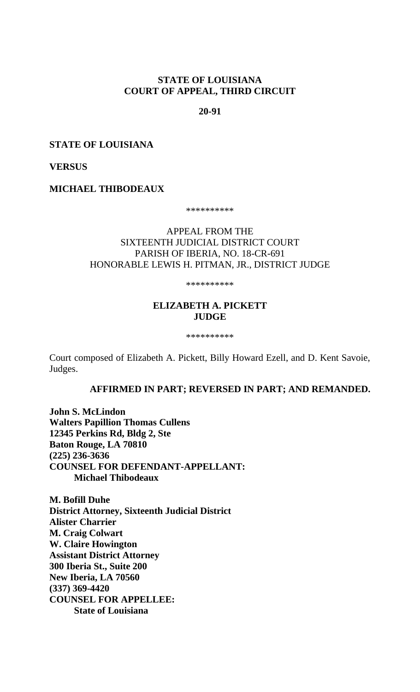# **STATE OF LOUISIANA COURT OF APPEAL, THIRD CIRCUIT**

### **20-91**

### **STATE OF LOUISIANA**

### **VERSUS**

**MICHAEL THIBODEAUX** 

\*\*\*\*\*\*\*\*\*\*

# APPEAL FROM THE SIXTEENTH JUDICIAL DISTRICT COURT PARISH OF IBERIA, NO. 18-CR-691 HONORABLE LEWIS H. PITMAN, JR., DISTRICT JUDGE

\*\*\*\*\*\*\*\*\*\*

# **ELIZABETH A. PICKETT JUDGE**

\*\*\*\*\*\*\*\*\*\*

Court composed of Elizabeth A. Pickett, Billy Howard Ezell, and D. Kent Savoie, Judges.

**AFFIRMED IN PART; REVERSED IN PART; AND REMANDED.**

**John S. McLindon Walters Papillion Thomas Cullens 12345 Perkins Rd, Bldg 2, Ste Baton Rouge, LA 70810 (225) 236-3636 COUNSEL FOR DEFENDANT-APPELLANT: Michael Thibodeaux**

**M. Bofill Duhe District Attorney, Sixteenth Judicial District Alister Charrier M. Craig Colwart W. Claire Howington Assistant District Attorney 300 Iberia St., Suite 200 New Iberia, LA 70560 (337) 369-4420 COUNSEL FOR APPELLEE: State of Louisiana**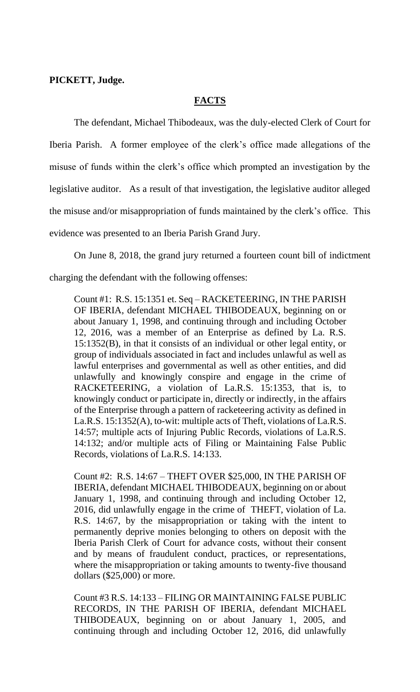**PICKETT, Judge.**

# **FACTS**

The defendant, Michael Thibodeaux, was the duly-elected Clerk of Court for Iberia Parish. A former employee of the clerk's office made allegations of the misuse of funds within the clerk's office which prompted an investigation by the legislative auditor. As a result of that investigation, the legislative auditor alleged the misuse and/or misappropriation of funds maintained by the clerk's office. This evidence was presented to an Iberia Parish Grand Jury.

On June 8, 2018, the grand jury returned a fourteen count bill of indictment charging the defendant with the following offenses:

Count #1: R.S. 15:1351 et. Seq – RACKETEERING, IN THE PARISH OF IBERIA, defendant MICHAEL THIBODEAUX, beginning on or about January 1, 1998, and continuing through and including October 12, 2016, was a member of an Enterprise as defined by La. R.S. 15:1352(B), in that it consists of an individual or other legal entity, or group of individuals associated in fact and includes unlawful as well as lawful enterprises and governmental as well as other entities, and did unlawfully and knowingly conspire and engage in the crime of RACKETEERING, a violation of La.R.S. 15:1353, that is, to knowingly conduct or participate in, directly or indirectly, in the affairs of the Enterprise through a pattern of racketeering activity as defined in La.R.S. 15:1352(A), to-wit: multiple acts of Theft, violations of La.R.S. 14:57; multiple acts of Injuring Public Records, violations of La.R.S. 14:132; and/or multiple acts of Filing or Maintaining False Public Records, violations of La.R.S. 14:133.

Count #2: R.S. 14:67 – THEFT OVER \$25,000, IN THE PARISH OF IBERIA, defendant MICHAEL THIBODEAUX, beginning on or about January 1, 1998, and continuing through and including October 12, 2016, did unlawfully engage in the crime of THEFT, violation of La. R.S. 14:67, by the misappropriation or taking with the intent to permanently deprive monies belonging to others on deposit with the Iberia Parish Clerk of Court for advance costs, without their consent and by means of fraudulent conduct, practices, or representations, where the misappropriation or taking amounts to twenty-five thousand dollars (\$25,000) or more.

Count #3 R.S. 14:133 – FILING OR MAINTAINING FALSE PUBLIC RECORDS, IN THE PARISH OF IBERIA, defendant MICHAEL THIBODEAUX, beginning on or about January 1, 2005, and continuing through and including October 12, 2016, did unlawfully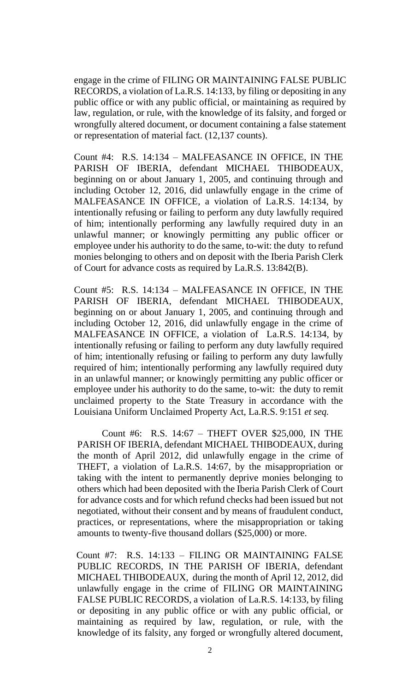engage in the crime of FILING OR MAINTAINING FALSE PUBLIC RECORDS, a violation of La.R.S. 14:133, by filing or depositing in any public office or with any public official, or maintaining as required by law, regulation, or rule, with the knowledge of its falsity, and forged or wrongfully altered document, or document containing a false statement or representation of material fact. (12,137 counts).

Count #4: R.S. 14:134 – MALFEASANCE IN OFFICE, IN THE PARISH OF IBERIA, defendant MICHAEL THIBODEAUX, beginning on or about January 1, 2005, and continuing through and including October 12, 2016, did unlawfully engage in the crime of MALFEASANCE IN OFFICE, a violation of La.R.S. 14:134, by intentionally refusing or failing to perform any duty lawfully required of him; intentionally performing any lawfully required duty in an unlawful manner; or knowingly permitting any public officer or employee under his authority to do the same, to-wit: the duty to refund monies belonging to others and on deposit with the Iberia Parish Clerk of Court for advance costs as required by La.R.S. 13:842(B).

Count #5: R.S. 14:134 – MALFEASANCE IN OFFICE, IN THE PARISH OF IBERIA, defendant MICHAEL THIBODEAUX, beginning on or about January 1, 2005, and continuing through and including October 12, 2016, did unlawfully engage in the crime of MALFEASANCE IN OFFICE, a violation of La.R.S. 14:134, by intentionally refusing or failing to perform any duty lawfully required of him; intentionally refusing or failing to perform any duty lawfully required of him; intentionally performing any lawfully required duty in an unlawful manner; or knowingly permitting any public officer or employee under his authority to do the same, to-wit: the duty to remit unclaimed property to the State Treasury in accordance with the Louisiana Uniform Unclaimed Property Act, La.R.S. 9:151 *et seq.*

Count #6: R.S. 14:67 – THEFT OVER \$25,000, IN THE PARISH OF IBERIA, defendant MICHAEL THIBODEAUX, during the month of April 2012, did unlawfully engage in the crime of THEFT, a violation of La.R.S. 14:67, by the misappropriation or taking with the intent to permanently deprive monies belonging to others which had been deposited with the Iberia Parish Clerk of Court for advance costs and for which refund checks had been issued but not negotiated, without their consent and by means of fraudulent conduct, practices, or representations, where the misappropriation or taking amounts to twenty-five thousand dollars (\$25,000) or more.

Count #7: R.S. 14:133 – FILING OR MAINTAINING FALSE PUBLIC RECORDS, IN THE PARISH OF IBERIA, defendant MICHAEL THIBODEAUX, during the month of April 12, 2012, did unlawfully engage in the crime of FILING OR MAINTAINING FALSE PUBLIC RECORDS, a violation of La.R.S. 14:133, by filing or depositing in any public office or with any public official, or maintaining as required by law, regulation, or rule, with the knowledge of its falsity, any forged or wrongfully altered document,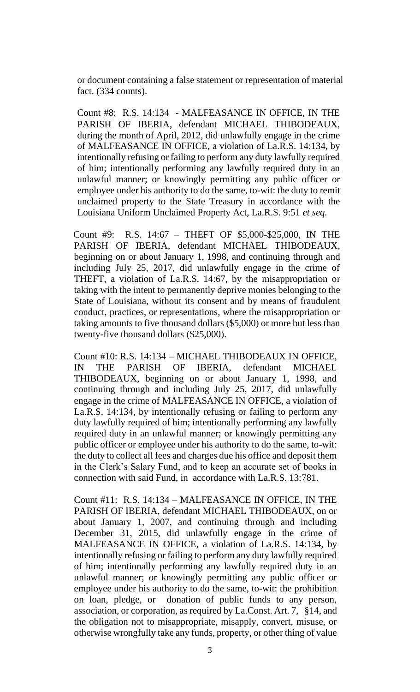or document containing a false statement or representation of material fact. (334 counts).

Count #8: R.S. 14:134 - MALFEASANCE IN OFFICE, IN THE PARISH OF IBERIA, defendant MICHAEL THIBODEAUX, during the month of April, 2012, did unlawfully engage in the crime of MALFEASANCE IN OFFICE, a violation of La.R.S. 14:134, by intentionally refusing or failing to perform any duty lawfully required of him; intentionally performing any lawfully required duty in an unlawful manner; or knowingly permitting any public officer or employee under his authority to do the same, to-wit: the duty to remit unclaimed property to the State Treasury in accordance with the Louisiana Uniform Unclaimed Property Act, La.R.S. 9:51 *et seq.*

Count #9: R.S. 14:67 – THEFT OF \$5,000-\$25,000, IN THE PARISH OF IBERIA, defendant MICHAEL THIBODEAUX, beginning on or about January 1, 1998, and continuing through and including July 25, 2017, did unlawfully engage in the crime of THEFT, a violation of La.R.S. 14:67, by the misappropriation or taking with the intent to permanently deprive monies belonging to the State of Louisiana, without its consent and by means of fraudulent conduct, practices, or representations, where the misappropriation or taking amounts to five thousand dollars (\$5,000) or more but less than twenty-five thousand dollars (\$25,000).

Count #10: R.S. 14:134 – MICHAEL THIBODEAUX IN OFFICE, IN THE PARISH OF IBERIA, defendant MICHAEL THIBODEAUX, beginning on or about January 1, 1998, and continuing through and including July 25, 2017, did unlawfully engage in the crime of MALFEASANCE IN OFFICE, a violation of La.R.S. 14:134, by intentionally refusing or failing to perform any duty lawfully required of him; intentionally performing any lawfully required duty in an unlawful manner; or knowingly permitting any public officer or employee under his authority to do the same, to-wit: the duty to collect all fees and charges due his office and deposit them in the Clerk's Salary Fund, and to keep an accurate set of books in connection with said Fund, in accordance with La.R.S. 13:781.

Count #11: R.S. 14:134 – MALFEASANCE IN OFFICE, IN THE PARISH OF IBERIA, defendant MICHAEL THIBODEAUX, on or about January 1, 2007, and continuing through and including December 31, 2015, did unlawfully engage in the crime of MALFEASANCE IN OFFICE, a violation of La.R.S. 14:134, by intentionally refusing or failing to perform any duty lawfully required of him; intentionally performing any lawfully required duty in an unlawful manner; or knowingly permitting any public officer or employee under his authority to do the same, to-wit: the prohibition on loan, pledge, or donation of public funds to any person, association, or corporation, as required by La.Const. Art. 7, §14, and the obligation not to misappropriate, misapply, convert, misuse, or otherwise wrongfully take any funds, property, or other thing of value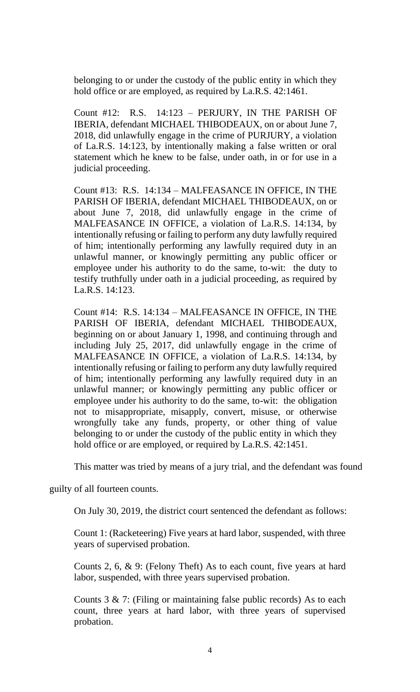belonging to or under the custody of the public entity in which they hold office or are employed, as required by La.R.S. 42:1461.

Count #12: R.S. 14:123 – PERJURY, IN THE PARISH OF IBERIA, defendant MICHAEL THIBODEAUX, on or about June 7, 2018, did unlawfully engage in the crime of PURJURY, a violation of La.R.S. 14:123, by intentionally making a false written or oral statement which he knew to be false, under oath, in or for use in a judicial proceeding.

Count #13: R.S. 14:134 – MALFEASANCE IN OFFICE, IN THE PARISH OF IBERIA, defendant MICHAEL THIBODEAUX, on or about June 7, 2018, did unlawfully engage in the crime of MALFEASANCE IN OFFICE, a violation of La.R.S. 14:134, by intentionally refusing or failing to perform any duty lawfully required of him; intentionally performing any lawfully required duty in an unlawful manner, or knowingly permitting any public officer or employee under his authority to do the same, to-wit: the duty to testify truthfully under oath in a judicial proceeding, as required by La.R.S. 14:123.

Count #14: R.S. 14:134 – MALFEASANCE IN OFFICE, IN THE PARISH OF IBERIA, defendant MICHAEL THIBODEAUX, beginning on or about January 1, 1998, and continuing through and including July 25, 2017, did unlawfully engage in the crime of MALFEASANCE IN OFFICE, a violation of La.R.S. 14:134, by intentionally refusing or failing to perform any duty lawfully required of him; intentionally performing any lawfully required duty in an unlawful manner; or knowingly permitting any public officer or employee under his authority to do the same, to-wit: the obligation not to misappropriate, misapply, convert, misuse, or otherwise wrongfully take any funds, property, or other thing of value belonging to or under the custody of the public entity in which they hold office or are employed, or required by La.R.S. 42:1451.

This matter was tried by means of a jury trial, and the defendant was found

guilty of all fourteen counts.

On July 30, 2019, the district court sentenced the defendant as follows:

Count 1: (Racketeering) Five years at hard labor, suspended, with three years of supervised probation.

Counts 2, 6, & 9: (Felony Theft) As to each count, five years at hard labor, suspended, with three years supervised probation.

Counts  $3 \& 7$ : (Filing or maintaining false public records) As to each count, three years at hard labor, with three years of supervised probation.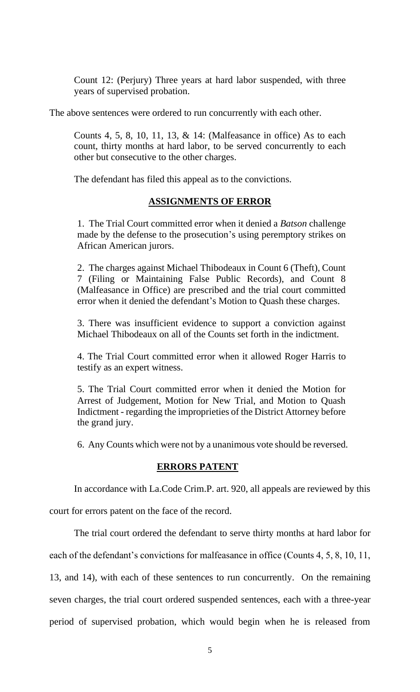Count 12: (Perjury) Three years at hard labor suspended, with three years of supervised probation.

The above sentences were ordered to run concurrently with each other.

Counts 4, 5, 8, 10, 11, 13,  $&$  14: (Malfeasance in office) As to each count, thirty months at hard labor, to be served concurrently to each other but consecutive to the other charges.

The defendant has filed this appeal as to the convictions.

# **ASSIGNMENTS OF ERROR**

1. The Trial Court committed error when it denied a *Batson* challenge made by the defense to the prosecution's using peremptory strikes on African American jurors.

2. The charges against Michael Thibodeaux in Count 6 (Theft), Count 7 (Filing or Maintaining False Public Records), and Count 8 (Malfeasance in Office) are prescribed and the trial court committed error when it denied the defendant's Motion to Quash these charges.

3. There was insufficient evidence to support a conviction against Michael Thibodeaux on all of the Counts set forth in the indictment.

4. The Trial Court committed error when it allowed Roger Harris to testify as an expert witness.

5. The Trial Court committed error when it denied the Motion for Arrest of Judgement, Motion for New Trial, and Motion to Quash Indictment - regarding the improprieties of the District Attorney before the grand jury.

6. Any Counts which were not by a unanimous vote should be reversed.

### **ERRORS PATENT**

In accordance with La.Code Crim.P. art. 920, all appeals are reviewed by this

court for errors patent on the face of the record.

The trial court ordered the defendant to serve thirty months at hard labor for each of the defendant's convictions for malfeasance in office (Counts 4, 5, 8, 10, 11, 13, and 14), with each of these sentences to run concurrently. On the remaining seven charges, the trial court ordered suspended sentences, each with a three-year period of supervised probation, which would begin when he is released from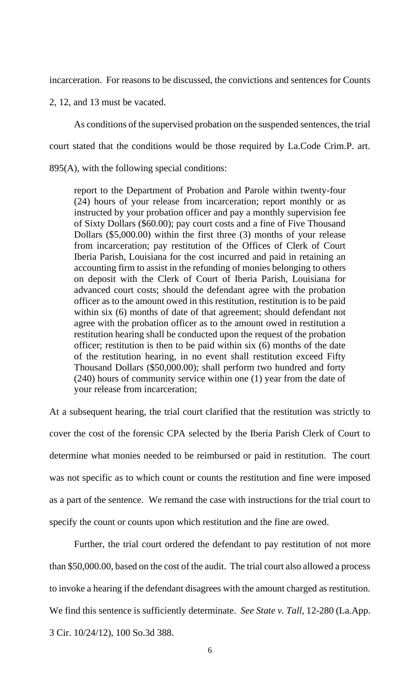incarceration. For reasons to be discussed, the convictions and sentences for Counts

2, 12, and 13 must be vacated.

As conditions of the supervised probation on the suspended sentences, the trial

court stated that the conditions would be those required by La.Code Crim.P. art.

895(A), with the following special conditions:

report to the Department of Probation and Parole within twenty-four (24) hours of your release from incarceration; report monthly or as instructed by your probation officer and pay a monthly supervision fee of Sixty Dollars (\$60.00); pay court costs and a fine of Five Thousand Dollars (\$5,000.00) within the first three (3) months of your release from incarceration; pay restitution of the Offices of Clerk of Court Iberia Parish, Louisiana for the cost incurred and paid in retaining an accounting firm to assist in the refunding of monies belonging to others on deposit with the Clerk of Court of Iberia Parish, Louisiana for advanced court costs; should the defendant agree with the probation officer as to the amount owed in this restitution, restitution is to be paid within six (6) months of date of that agreement; should defendant not agree with the probation officer as to the amount owed in restitution a restitution hearing shall be conducted upon the request of the probation officer; restitution is then to be paid within six (6) months of the date of the restitution hearing, in no event shall restitution exceed Fifty Thousand Dollars (\$50,000.00); shall perform two hundred and forty (240) hours of community service within one (1) year from the date of your release from incarceration;

At a subsequent hearing, the trial court clarified that the restitution was strictly to cover the cost of the forensic CPA selected by the Iberia Parish Clerk of Court to determine what monies needed to be reimbursed or paid in restitution. The court was not specific as to which count or counts the restitution and fine were imposed as a part of the sentence. We remand the case with instructions for the trial court to specify the count or counts upon which restitution and the fine are owed.

Further, the trial court ordered the defendant to pay restitution of not more than \$50,000.00, based on the cost of the audit. The trial court also allowed a process to invoke a hearing if the defendant disagrees with the amount charged as restitution. We find this sentence is sufficiently determinate. *See State v. Tall*, 12-280 (La.App. 3 Cir. 10/24/12), 100 So.3d 388.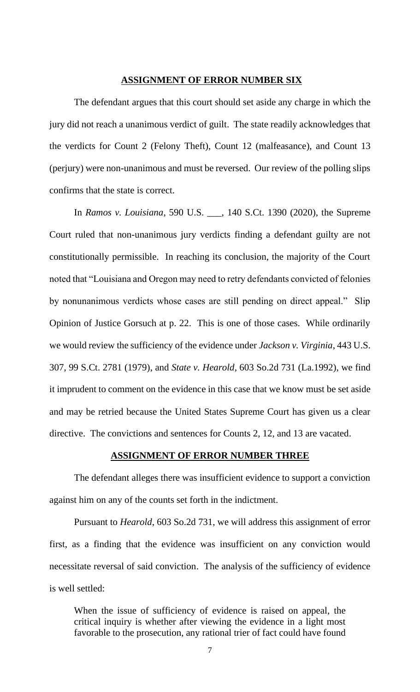### **ASSIGNMENT OF ERROR NUMBER SIX**

The defendant argues that this court should set aside any charge in which the jury did not reach a unanimous verdict of guilt. The state readily acknowledges that the verdicts for Count 2 (Felony Theft), Count 12 (malfeasance), and Count 13 (perjury) were non-unanimous and must be reversed. Our review of the polling slips confirms that the state is correct.

In *Ramos v. Louisiana*, 590 U.S. \_\_\_, 140 S.Ct. 1390 (2020), the Supreme Court ruled that non-unanimous jury verdicts finding a defendant guilty are not constitutionally permissible. In reaching its conclusion, the majority of the Court noted that "Louisiana and Oregon may need to retry defendants convicted of felonies by nonunanimous verdicts whose cases are still pending on direct appeal." Slip Opinion of Justice Gorsuch at p. 22. This is one of those cases. While ordinarily we would review the sufficiency of the evidence under *Jackson v. Virginia*, 443 U.S. 307, 99 S.Ct. 2781 (1979), and *State v. Hearold*, 603 So.2d 731 (La.1992), we find it imprudent to comment on the evidence in this case that we know must be set aside and may be retried because the United States Supreme Court has given us a clear directive. The convictions and sentences for Counts 2, 12, and 13 are vacated.

### **ASSIGNMENT OF ERROR NUMBER THREE**

The defendant alleges there was insufficient evidence to support a conviction against him on any of the counts set forth in the indictment.

Pursuant to *Hearold*, 603 So.2d 731, we will address this assignment of error first, as a finding that the evidence was insufficient on any conviction would necessitate reversal of said conviction. The analysis of the sufficiency of evidence is well settled:

When the issue of sufficiency of evidence is raised on appeal, the critical inquiry is whether after viewing the evidence in a light most favorable to the prosecution, any rational trier of fact could have found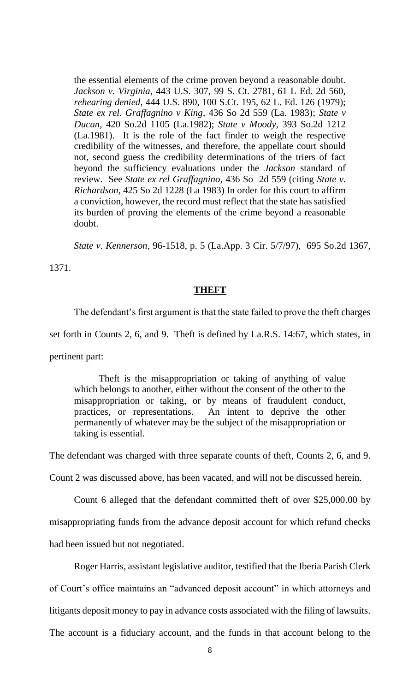the essential elements of the crime proven beyond a reasonable doubt. *Jackson v. Virginia*, 443 U.S. 307, 99 S. Ct. 2781, 61 L Ed. 2d 560, *rehearing denied*, 444 U.S. 890, 100 S.Ct. 195, 62 L. Ed. 126 (1979); *State ex rel. Graffagnino v King*, 436 So 2d 559 (La. 1983); *State v Ducan*, 420 So.2d 1105 (La.1982); *State v Moody*, 393 So.2d 1212 (La.1981). It is the role of the fact finder to weigh the respective credibility of the witnesses, and therefore, the appellate court should not, second guess the credibility determinations of the triers of fact beyond the sufficiency evaluations under the *Jackson* standard of review. See *State ex rel Graffagnino,* 436 So 2d 559 (citing *State v. Richardson*, 425 So 2d 1228 (La 1983) In order for this court to affirm a conviction, however, the record must reflect that the state has satisfied its burden of proving the elements of the crime beyond a reasonable doubt.

*State v. Kennerson*, 96-1518, p. 5 (La.App. 3 Cir. 5/7/97), 695 So.2d 1367,

1371.

### **THEFT**

The defendant's first argument is that the state failed to prove the theft charges

set forth in Counts 2, 6, and 9. Theft is defined by La.R.S. 14:67, which states, in

pertinent part:

Theft is the misappropriation or taking of anything of value which belongs to another, either without the consent of the other to the misappropriation or taking, or by means of fraudulent conduct, practices, or representations. An intent to deprive the other permanently of whatever may be the subject of the misappropriation or taking is essential.

The defendant was charged with three separate counts of theft, Counts 2, 6, and 9.

Count 2 was discussed above, has been vacated, and will not be discussed herein.

Count 6 alleged that the defendant committed theft of over \$25,000.00 by

misappropriating funds from the advance deposit account for which refund checks

had been issued but not negotiated.

Roger Harris, assistant legislative auditor, testified that the Iberia Parish Clerk

of Court's office maintains an "advanced deposit account" in which attorneys and

litigants deposit money to pay in advance costs associated with the filing of lawsuits.

The account is a fiduciary account, and the funds in that account belong to the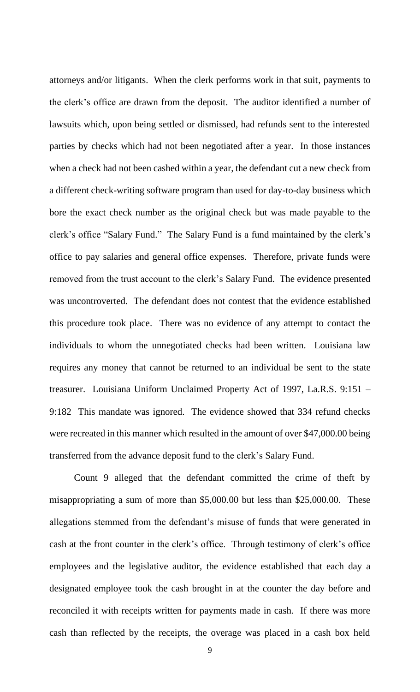attorneys and/or litigants. When the clerk performs work in that suit, payments to the clerk's office are drawn from the deposit. The auditor identified a number of lawsuits which, upon being settled or dismissed, had refunds sent to the interested parties by checks which had not been negotiated after a year. In those instances when a check had not been cashed within a year, the defendant cut a new check from a different check-writing software program than used for day-to-day business which bore the exact check number as the original check but was made payable to the clerk's office "Salary Fund." The Salary Fund is a fund maintained by the clerk's office to pay salaries and general office expenses. Therefore, private funds were removed from the trust account to the clerk's Salary Fund. The evidence presented was uncontroverted. The defendant does not contest that the evidence established this procedure took place. There was no evidence of any attempt to contact the individuals to whom the unnegotiated checks had been written. Louisiana law requires any money that cannot be returned to an individual be sent to the state treasurer. Louisiana Uniform Unclaimed Property Act of 1997, La.R.S. 9:151 – 9:182 This mandate was ignored. The evidence showed that 334 refund checks were recreated in this manner which resulted in the amount of over \$47,000.00 being transferred from the advance deposit fund to the clerk's Salary Fund.

Count 9 alleged that the defendant committed the crime of theft by misappropriating a sum of more than \$5,000.00 but less than \$25,000.00. These allegations stemmed from the defendant's misuse of funds that were generated in cash at the front counter in the clerk's office. Through testimony of clerk's office employees and the legislative auditor, the evidence established that each day a designated employee took the cash brought in at the counter the day before and reconciled it with receipts written for payments made in cash. If there was more cash than reflected by the receipts, the overage was placed in a cash box held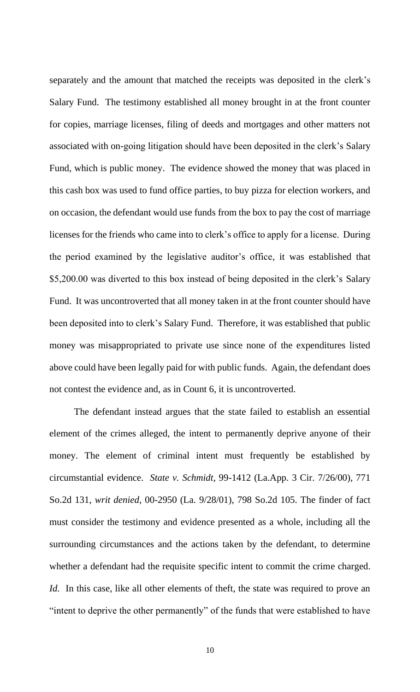separately and the amount that matched the receipts was deposited in the clerk's Salary Fund. The testimony established all money brought in at the front counter for copies, marriage licenses, filing of deeds and mortgages and other matters not associated with on-going litigation should have been deposited in the clerk's Salary Fund, which is public money. The evidence showed the money that was placed in this cash box was used to fund office parties, to buy pizza for election workers, and on occasion, the defendant would use funds from the box to pay the cost of marriage licenses for the friends who came into to clerk's office to apply for a license. During the period examined by the legislative auditor's office, it was established that \$5,200.00 was diverted to this box instead of being deposited in the clerk's Salary Fund. It was uncontroverted that all money taken in at the front counter should have been deposited into to clerk's Salary Fund. Therefore, it was established that public money was misappropriated to private use since none of the expenditures listed above could have been legally paid for with public funds. Again, the defendant does not contest the evidence and, as in Count 6, it is uncontroverted.

The defendant instead argues that the state failed to establish an essential element of the crimes alleged, the intent to permanently deprive anyone of their money. The element of criminal intent must frequently be established by circumstantial evidence. *State v. Schmidt*, 99-1412 (La.App. 3 Cir. 7/26/00), 771 So.2d 131, *writ denied*, 00-2950 (La. 9/28/01), 798 So.2d 105. The finder of fact must consider the testimony and evidence presented as a whole, including all the surrounding circumstances and the actions taken by the defendant, to determine whether a defendant had the requisite specific intent to commit the crime charged. *Id.* In this case, like all other elements of theft, the state was required to prove an "intent to deprive the other permanently" of the funds that were established to have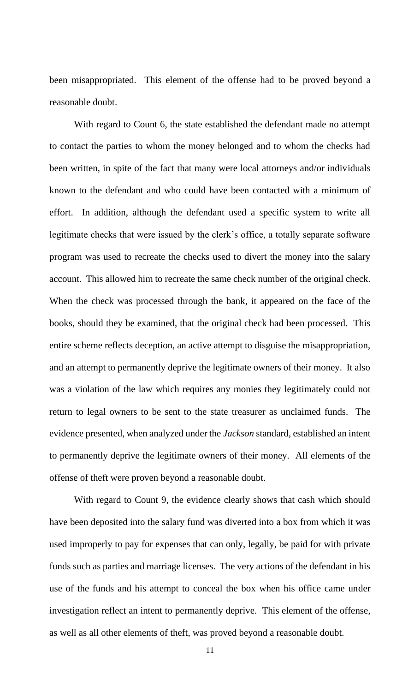been misappropriated. This element of the offense had to be proved beyond a reasonable doubt.

With regard to Count 6, the state established the defendant made no attempt to contact the parties to whom the money belonged and to whom the checks had been written, in spite of the fact that many were local attorneys and/or individuals known to the defendant and who could have been contacted with a minimum of effort. In addition, although the defendant used a specific system to write all legitimate checks that were issued by the clerk's office, a totally separate software program was used to recreate the checks used to divert the money into the salary account. This allowed him to recreate the same check number of the original check. When the check was processed through the bank, it appeared on the face of the books, should they be examined, that the original check had been processed. This entire scheme reflects deception, an active attempt to disguise the misappropriation, and an attempt to permanently deprive the legitimate owners of their money. It also was a violation of the law which requires any monies they legitimately could not return to legal owners to be sent to the state treasurer as unclaimed funds. The evidence presented, when analyzed under the *Jackson* standard, established an intent to permanently deprive the legitimate owners of their money. All elements of the offense of theft were proven beyond a reasonable doubt.

With regard to Count 9, the evidence clearly shows that cash which should have been deposited into the salary fund was diverted into a box from which it was used improperly to pay for expenses that can only, legally, be paid for with private funds such as parties and marriage licenses. The very actions of the defendant in his use of the funds and his attempt to conceal the box when his office came under investigation reflect an intent to permanently deprive. This element of the offense, as well as all other elements of theft, was proved beyond a reasonable doubt.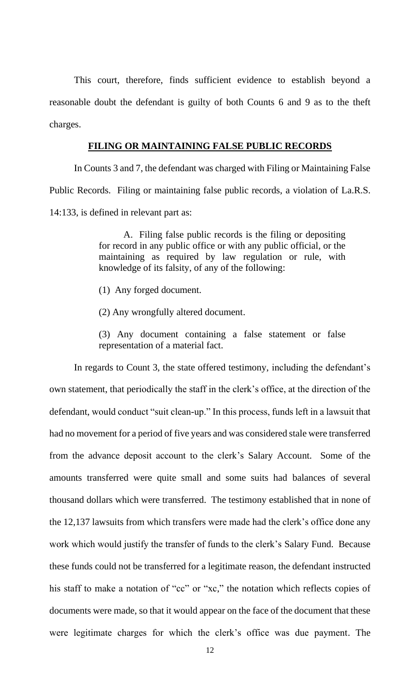This court, therefore, finds sufficient evidence to establish beyond a reasonable doubt the defendant is guilty of both Counts 6 and 9 as to the theft charges.

### **FILING OR MAINTAINING FALSE PUBLIC RECORDS**

In Counts 3 and 7, the defendant was charged with Filing or Maintaining False Public Records. Filing or maintaining false public records, a violation of La.R.S. 14:133, is defined in relevant part as:

> A. Filing false public records is the filing or depositing for record in any public office or with any public official, or the maintaining as required by law regulation or rule, with knowledge of its falsity, of any of the following:

- (1) Any forged document.
- (2) Any wrongfully altered document.

(3) Any document containing a false statement or false representation of a material fact.

In regards to Count 3, the state offered testimony, including the defendant's own statement, that periodically the staff in the clerk's office, at the direction of the defendant, would conduct "suit clean-up." In this process, funds left in a lawsuit that had no movement for a period of five years and was considered stale were transferred from the advance deposit account to the clerk's Salary Account. Some of the amounts transferred were quite small and some suits had balances of several thousand dollars which were transferred. The testimony established that in none of the 12,137 lawsuits from which transfers were made had the clerk's office done any work which would justify the transfer of funds to the clerk's Salary Fund. Because these funds could not be transferred for a legitimate reason, the defendant instructed his staff to make a notation of "cc" or "xc," the notation which reflects copies of documents were made, so that it would appear on the face of the document that these were legitimate charges for which the clerk's office was due payment. The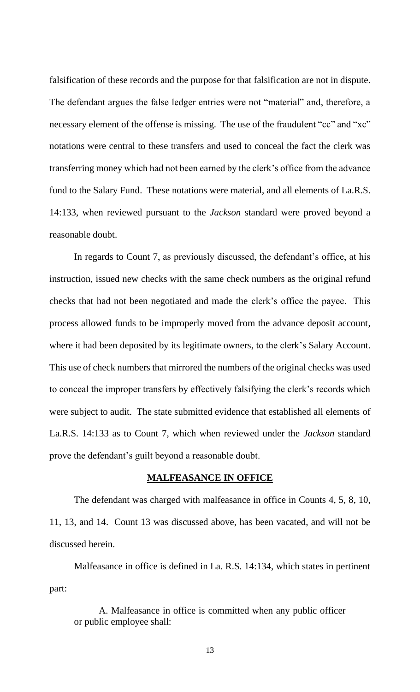falsification of these records and the purpose for that falsification are not in dispute. The defendant argues the false ledger entries were not "material" and, therefore, a necessary element of the offense is missing. The use of the fraudulent "cc" and "xc" notations were central to these transfers and used to conceal the fact the clerk was transferring money which had not been earned by the clerk's office from the advance fund to the Salary Fund. These notations were material, and all elements of La.R.S. 14:133, when reviewed pursuant to the *Jackson* standard were proved beyond a reasonable doubt.

In regards to Count 7, as previously discussed, the defendant's office, at his instruction, issued new checks with the same check numbers as the original refund checks that had not been negotiated and made the clerk's office the payee. This process allowed funds to be improperly moved from the advance deposit account, where it had been deposited by its legitimate owners, to the clerk's Salary Account. This use of check numbers that mirrored the numbers of the original checks was used to conceal the improper transfers by effectively falsifying the clerk's records which were subject to audit. The state submitted evidence that established all elements of La.R.S. 14:133 as to Count 7, which when reviewed under the *Jackson* standard prove the defendant's guilt beyond a reasonable doubt.

### **MALFEASANCE IN OFFICE**

The defendant was charged with malfeasance in office in Counts 4, 5, 8, 10, 11, 13, and 14. Count 13 was discussed above, has been vacated, and will not be discussed herein.

Malfeasance in office is defined in La. R.S. 14:134, which states in pertinent part:

A. Malfeasance in office is committed when any public officer or public employee shall:

13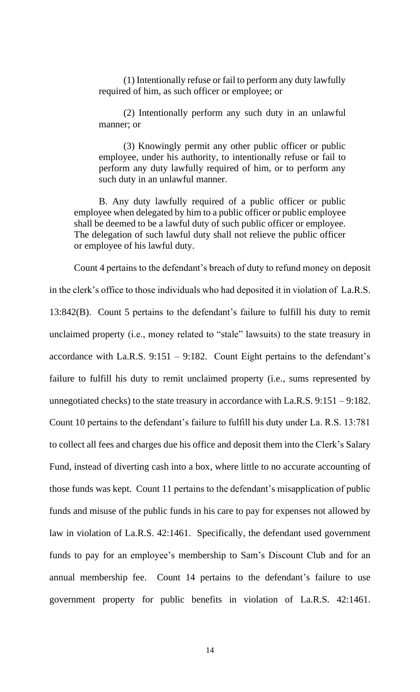(1) Intentionally refuse or fail to perform any duty lawfully required of him, as such officer or employee; or

(2) Intentionally perform any such duty in an unlawful manner; or

(3) Knowingly permit any other public officer or public employee, under his authority, to intentionally refuse or fail to perform any duty lawfully required of him, or to perform any such duty in an unlawful manner.

B. Any duty lawfully required of a public officer or public employee when delegated by him to a public officer or public employee shall be deemed to be a lawful duty of such public officer or employee. The delegation of such lawful duty shall not relieve the public officer or employee of his lawful duty.

Count 4 pertains to the defendant's breach of duty to refund money on deposit in the clerk's office to those individuals who had deposited it in violation of La.R.S. 13:842(B). Count 5 pertains to the defendant's failure to fulfill his duty to remit unclaimed property (i.e., money related to "stale" lawsuits) to the state treasury in accordance with La.R.S. 9:151 – 9:182. Count Eight pertains to the defendant's failure to fulfill his duty to remit unclaimed property (i.e., sums represented by unnegotiated checks) to the state treasury in accordance with La.R.S. 9:151 – 9:182. Count 10 pertains to the defendant's failure to fulfill his duty under La. R.S. 13:781 to collect all fees and charges due his office and deposit them into the Clerk's Salary Fund, instead of diverting cash into a box, where little to no accurate accounting of those funds was kept. Count 11 pertains to the defendant's misapplication of public funds and misuse of the public funds in his care to pay for expenses not allowed by law in violation of La.R.S. 42:1461. Specifically, the defendant used government funds to pay for an employee's membership to Sam's Discount Club and for an annual membership fee. Count 14 pertains to the defendant's failure to use government property for public benefits in violation of La.R.S. 42:1461.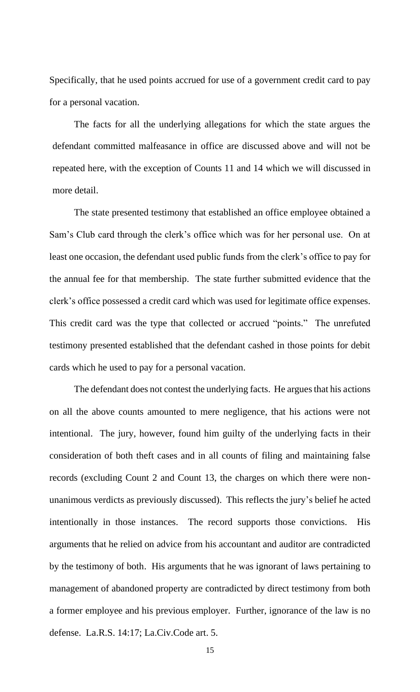Specifically, that he used points accrued for use of a government credit card to pay for a personal vacation.

The facts for all the underlying allegations for which the state argues the defendant committed malfeasance in office are discussed above and will not be repeated here, with the exception of Counts 11 and 14 which we will discussed in more detail.

The state presented testimony that established an office employee obtained a Sam's Club card through the clerk's office which was for her personal use. On at least one occasion, the defendant used public funds from the clerk's office to pay for the annual fee for that membership. The state further submitted evidence that the clerk's office possessed a credit card which was used for legitimate office expenses. This credit card was the type that collected or accrued "points." The unrefuted testimony presented established that the defendant cashed in those points for debit cards which he used to pay for a personal vacation.

The defendant does not contest the underlying facts. He argues that his actions on all the above counts amounted to mere negligence, that his actions were not intentional. The jury, however, found him guilty of the underlying facts in their consideration of both theft cases and in all counts of filing and maintaining false records (excluding Count 2 and Count 13, the charges on which there were nonunanimous verdicts as previously discussed). This reflects the jury's belief he acted intentionally in those instances. The record supports those convictions. His arguments that he relied on advice from his accountant and auditor are contradicted by the testimony of both. His arguments that he was ignorant of laws pertaining to management of abandoned property are contradicted by direct testimony from both a former employee and his previous employer. Further, ignorance of the law is no defense. La.R.S. 14:17; La.Civ.Code art. 5.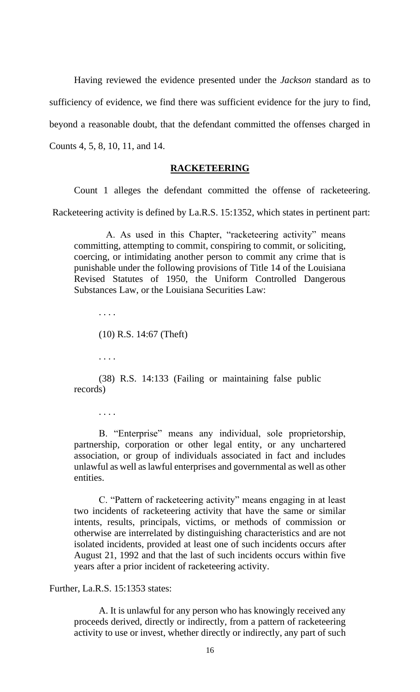Having reviewed the evidence presented under the *Jackson* standard as to sufficiency of evidence, we find there was sufficient evidence for the jury to find, beyond a reasonable doubt, that the defendant committed the offenses charged in Counts 4, 5, 8, 10, 11, and 14.

#### **RACKETEERING**

Count 1 alleges the defendant committed the offense of racketeering.

Racketeering activity is defined by La.R.S. 15:1352, which states in pertinent part:

A. As used in this Chapter, "racketeering activity" means committing, attempting to commit, conspiring to commit, or soliciting, coercing, or intimidating another person to commit any crime that is punishable under the following provisions of Title 14 of the Louisiana Revised Statutes of 1950, the Uniform Controlled Dangerous Substances Law, or the Louisiana Securities Law:

. . . .

(10) R.S. 14:67 (Theft)

. . . .

(38) R.S. 14:133 (Failing or maintaining false public records)

. . . .

B. "Enterprise" means any individual, sole proprietorship, partnership, corporation or other legal entity, or any unchartered association, or group of individuals associated in fact and includes unlawful as well as lawful enterprises and governmental as well as other entities.

C. "Pattern of racketeering activity" means engaging in at least two incidents of racketeering activity that have the same or similar intents, results, principals, victims, or methods of commission or otherwise are interrelated by distinguishing characteristics and are not isolated incidents, provided at least one of such incidents occurs after August 21, 1992 and that the last of such incidents occurs within five years after a prior incident of racketeering activity.

Further, La.R.S. 15:1353 states:

A. It is unlawful for any person who has knowingly received any proceeds derived, directly or indirectly, from a pattern of racketeering activity to use or invest, whether directly or indirectly, any part of such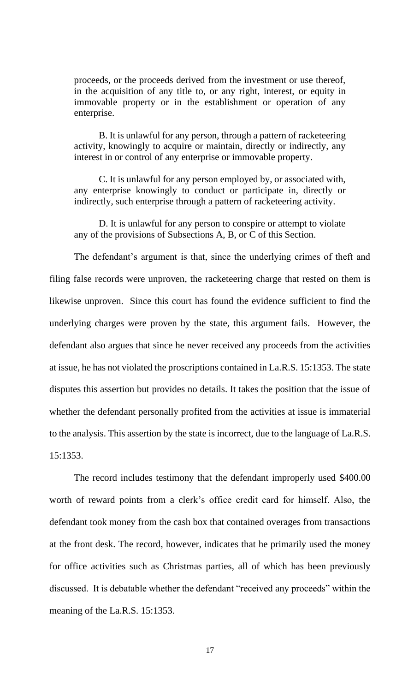proceeds, or the proceeds derived from the investment or use thereof, in the acquisition of any title to, or any right, interest, or equity in immovable property or in the establishment or operation of any enterprise.

B. It is unlawful for any person, through a pattern of racketeering activity, knowingly to acquire or maintain, directly or indirectly, any interest in or control of any enterprise or immovable property.

C. It is unlawful for any person employed by, or associated with, any enterprise knowingly to conduct or participate in, directly or indirectly, such enterprise through a pattern of racketeering activity.

D. It is unlawful for any person to conspire or attempt to violate any of the provisions of Subsections A, B, or C of this Section.

The defendant's argument is that, since the underlying crimes of theft and filing false records were unproven, the racketeering charge that rested on them is likewise unproven. Since this court has found the evidence sufficient to find the underlying charges were proven by the state, this argument fails. However, the defendant also argues that since he never received any proceeds from the activities at issue, he has not violated the proscriptions contained in La.R.S. 15:1353. The state disputes this assertion but provides no details. It takes the position that the issue of whether the defendant personally profited from the activities at issue is immaterial to the analysis. This assertion by the state is incorrect, due to the language of La.R.S. 15:1353.

The record includes testimony that the defendant improperly used \$400.00 worth of reward points from a clerk's office credit card for himself. Also, the defendant took money from the cash box that contained overages from transactions at the front desk. The record, however, indicates that he primarily used the money for office activities such as Christmas parties, all of which has been previously discussed. It is debatable whether the defendant "received any proceeds" within the meaning of the La.R.S. 15:1353.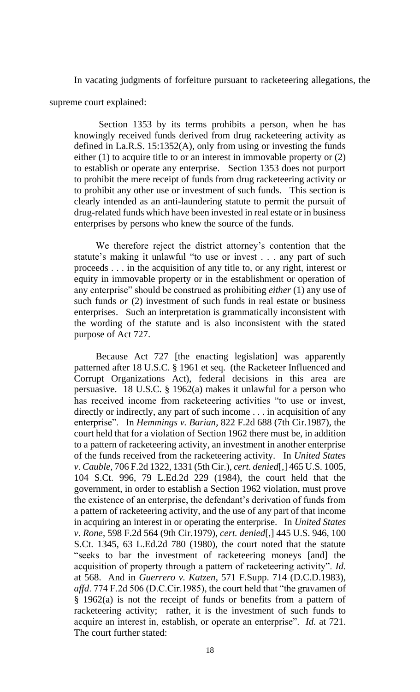In vacating judgments of forfeiture pursuant to racketeering allegations, the supreme court explained:

Section 1353 by its terms prohibits a person, when he has knowingly received funds derived from drug racketeering activity as defined in La.R.S. 15:1352(A), only from using or investing the funds either (1) to acquire title to or an interest in immovable property or (2) to establish or operate any enterprise. Section 1353 does not purport to prohibit the mere receipt of funds from drug racketeering activity or to prohibit any other use or investment of such funds. This section is clearly intended as an anti-laundering statute to permit the pursuit of drug-related funds which have been invested in real estate or in business enterprises by persons who knew the source of the funds.

We therefore reject the district attorney's contention that the statute's making it unlawful "to use or invest . . . any part of such proceeds . . . in the acquisition of any title to, or any right, interest or equity in immovable property or in the establishment or operation of any enterprise" should be construed as prohibiting *either* (1) any use of such funds *or* (2) investment of such funds in real estate or business enterprises. Such an interpretation is grammatically inconsistent with the wording of the statute and is also inconsistent with the stated purpose of Act 727.

Because Act 727 [the enacting legislation] was apparently patterned after 18 U.S.C. § 1961 et seq. (the Racketeer Influenced and Corrupt Organizations Act), federal decisions in this area are persuasive. 18 U.S.C. § 1962(a) makes it unlawful for a person who has received income from racketeering activities "to use or invest, directly or indirectly, any part of such income . . . in acquisition of any enterprise". In *Hemmings v. Barian*, 822 F.2d 688 (7th Cir.1987), the court held that for a violation of Section 1962 there must be, in addition to a pattern of racketeering activity, an investment in another enterprise of the funds received from the racketeering activity. In *United States v. Cauble*, 706 F.2d 1322, 1331 (5th Cir.), *cert. denied*[,] 465 U.S. 1005, 104 S.Ct. 996, 79 L.Ed.2d 229 (1984), the court held that the government, in order to establish a Section 1962 violation, must prove the existence of an enterprise, the defendant's derivation of funds from a pattern of racketeering activity, and the use of any part of that income in acquiring an interest in or operating the enterprise. In *United States v. Rone*, 598 F.2d 564 (9th Cir.1979), *cert. denied*[,] 445 U.S. 946, 100 S.Ct. 1345, 63 L.Ed.2d 780 (1980), the court noted that the statute "seeks to bar the investment of racketeering moneys [and] the acquisition of property through a pattern of racketeering activity". *Id.* at 568. And in *Guerrero v. Katzen*, 571 F.Supp. 714 (D.C.D.1983), *affd*. 774 F.2d 506 (D.C.Cir.1985), the court held that "the gravamen of § 1962(a) is not the receipt of funds or benefits from a pattern of racketeering activity; rather, it is the investment of such funds to acquire an interest in, establish, or operate an enterprise". *Id.* at 721. The court further stated: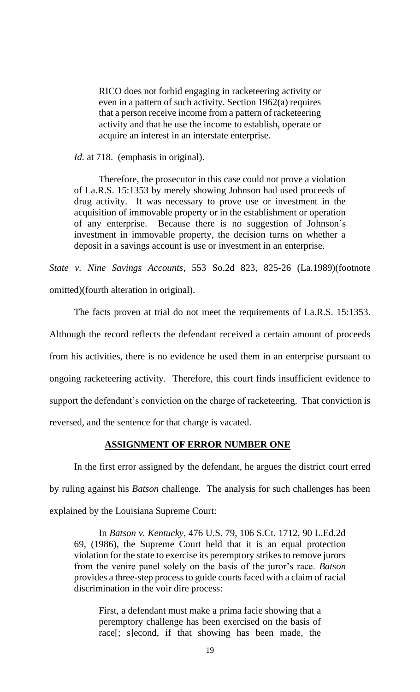RICO does not forbid engaging in racketeering activity or even in a pattern of such activity. Section 1962(a) requires that a person receive income from a pattern of racketeering activity and that he use the income to establish, operate or acquire an interest in an interstate enterprise.

*Id.* at 718. (emphasis in original).

Therefore, the prosecutor in this case could not prove a violation of La.R.S. 15:1353 by merely showing Johnson had used proceeds of drug activity. It was necessary to prove use or investment in the acquisition of immovable property or in the establishment or operation of any enterprise. Because there is no suggestion of Johnson's investment in immovable property, the decision turns on whether a deposit in a savings account is use or investment in an enterprise.

*State v. Nine Savings Accounts*, 553 So.2d 823, 825-26 (La.1989)(footnote omitted)(fourth alteration in original).

The facts proven at trial do not meet the requirements of La.R.S. 15:1353. Although the record reflects the defendant received a certain amount of proceeds from his activities, there is no evidence he used them in an enterprise pursuant to ongoing racketeering activity. Therefore, this court finds insufficient evidence to support the defendant's conviction on the charge of racketeering. That conviction is reversed, and the sentence for that charge is vacated.

### **ASSIGNMENT OF ERROR NUMBER ONE**

In the first error assigned by the defendant, he argues the district court erred by ruling against his *Batson* challenge. The analysis for such challenges has been explained by the Louisiana Supreme Court:

In *Batson v. Kentucky*, 476 U.S. 79, 106 S.Ct. 1712, 90 L.Ed.2d 69, (1986), the Supreme Court held that it is an equal protection violation for the state to exercise its peremptory strikes to remove jurors from the venire panel solely on the basis of the juror's race. *Batson* provides a three-step process to guide courts faced with a claim of racial discrimination in the voir dire process:

First, a defendant must make a prima facie showing that a peremptory challenge has been exercised on the basis of race[; s]econd, if that showing has been made, the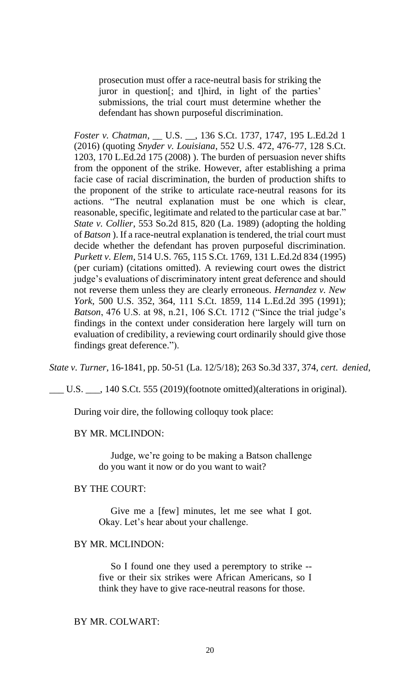prosecution must offer a race-neutral basis for striking the juror in question[; and t]hird, in light of the parties' submissions, the trial court must determine whether the defendant has shown purposeful discrimination.

*Foster v. Chatman*, \_\_ U.S. \_\_, 136 S.Ct. 1737, 1747, 195 L.Ed.2d 1 (2016) (quoting *Snyder v. Louisiana*, 552 U.S. 472, 476-77, 128 S.Ct. 1203, 170 L.Ed.2d 175 (2008) ). The burden of persuasion never shifts from the opponent of the strike. However, after establishing a prima facie case of racial discrimination, the burden of production shifts to the proponent of the strike to articulate race-neutral reasons for its actions. "The neutral explanation must be one which is clear, reasonable, specific, legitimate and related to the particular case at bar." *State v. Collier*, 553 So.2d 815, 820 (La. 1989) (adopting the holding of *Batson* ). If a race-neutral explanation is tendered, the trial court must decide whether the defendant has proven purposeful discrimination. *Purkett v. Elem*, 514 U.S. 765, 115 S.Ct. 1769, 131 L.Ed.2d 834 (1995) (per curiam) (citations omitted). A reviewing court owes the district judge's evaluations of discriminatory intent great deference and should not reverse them unless they are clearly erroneous. *Hernandez v. New York*, 500 U.S. 352, 364, 111 S.Ct. 1859, 114 L.Ed.2d 395 (1991); *Batson*, 476 U.S. at 98, n.21, 106 S.Ct. 1712 ("Since the trial judge's findings in the context under consideration here largely will turn on evaluation of credibility, a reviewing court ordinarily should give those findings great deference.").

*State v. Turner*, 16-1841, pp. 50-51 (La. 12/5/18); 263 So.3d 337, 374, *cert. denied*,

\_\_\_ U.S. \_\_\_, 140 S.Ct. 555 (2019)(footnote omitted)(alterations in original).

During voir dire, the following colloquy took place:

### BY MR. MCLINDON:

 Judge, we're going to be making a Batson challenge do you want it now or do you want to wait?

### BY THE COURT:

 Give me a [few] minutes, let me see what I got. Okay. Let's hear about your challenge.

#### BY MR. MCLINDON:

 So I found one they used a peremptory to strike - five or their six strikes were African Americans, so I think they have to give race-neutral reasons for those.

#### BY MR. COLWART: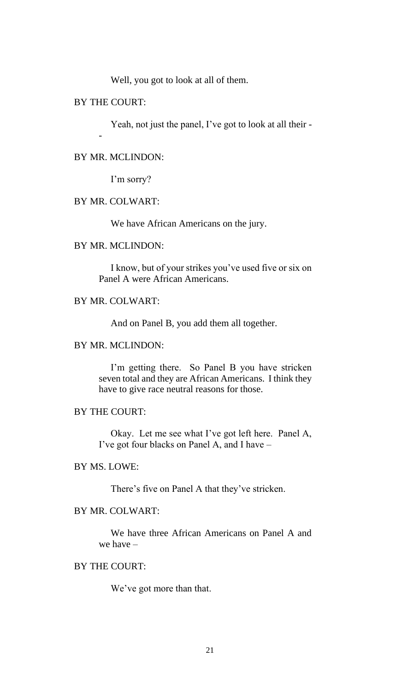Well, you got to look at all of them.

### BY THE COURT:

-

Yeah, not just the panel, I've got to look at all their -

### BY MR. MCLINDON:

I'm sorry?

# BY MR. COLWART:

We have African Americans on the jury.

### BY MR. MCLINDON:

 I know, but of your strikes you've used five or six on Panel A were African Americans.

# BY MR. COLWART:

And on Panel B, you add them all together.

# BY MR. MCLINDON:

 I'm getting there. So Panel B you have stricken seven total and they are African Americans. I think they have to give race neutral reasons for those.

## BY THE COURT:

 Okay. Let me see what I've got left here. Panel A, I've got four blacks on Panel A, and I have –

### BY MS. LOWE:

There's five on Panel A that they've stricken.

### BY MR. COLWART:

 We have three African Americans on Panel A and we have –

# BY THE COURT:

We've got more than that.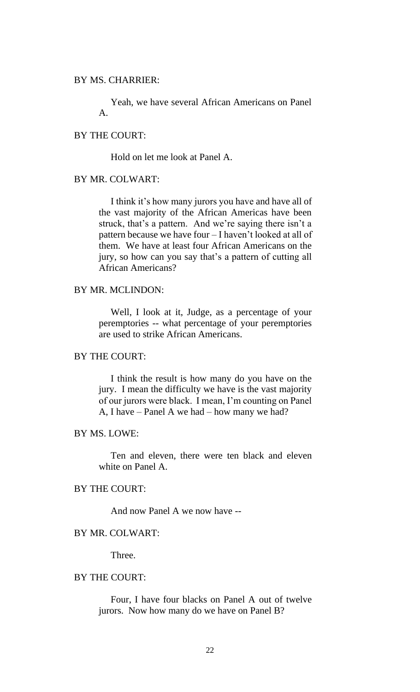### BY MS. CHARRIER:

 Yeah, we have several African Americans on Panel A.

### BY THE COURT:

Hold on let me look at Panel A.

# BY MR. COLWART:

 I think it's how many jurors you have and have all of the vast majority of the African Americas have been struck, that's a pattern. And we're saying there isn't a pattern because we have four – I haven't looked at all of them. We have at least four African Americans on the jury, so how can you say that's a pattern of cutting all African Americans?

### BY MR. MCLINDON:

 Well, I look at it, Judge, as a percentage of your peremptories -- what percentage of your peremptories are used to strike African Americans.

### BY THE COURT:

 I think the result is how many do you have on the jury. I mean the difficulty we have is the vast majority of our jurors were black. I mean, I'm counting on Panel A, I have – Panel A we had – how many we had?

# BY MS. LOWE:

 Ten and eleven, there were ten black and eleven white on Panel A.

# BY THE COURT:

And now Panel A we now have --

#### BY MR. COLWART:

Three.

### BY THE COURT:

 Four, I have four blacks on Panel A out of twelve jurors. Now how many do we have on Panel B?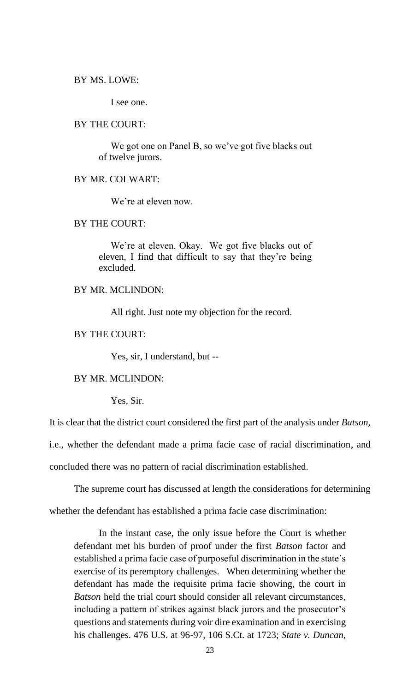#### BY MS. LOWE:

I see one.

#### BY THE COURT:

 We got one on Panel B, so we've got five blacks out of twelve jurors.

### BY MR. COLWART:

We're at eleven now.

#### BY THE COURT:

 We're at eleven. Okay. We got five blacks out of eleven, I find that difficult to say that they're being excluded.

### BY MR. MCLINDON:

All right. Just note my objection for the record.

### BY THE COURT:

Yes, sir, I understand, but --

BY MR. MCLINDON:

Yes, Sir.

It is clear that the district court considered the first part of the analysis under *Batson*,

i.e., whether the defendant made a prima facie case of racial discrimination, and

concluded there was no pattern of racial discrimination established.

The supreme court has discussed at length the considerations for determining whether the defendant has established a prima facie case discrimination:

In the instant case, the only issue before the Court is whether defendant met his burden of proof under the first *Batson* factor and established a prima facie case of purposeful discrimination in the state's exercise of its peremptory challenges. When determining whether the defendant has made the requisite prima facie showing, the court in *Batson* held the trial court should consider all relevant circumstances, including a pattern of strikes against black jurors and the prosecutor's questions and statements during voir dire examination and in exercising his challenges. 476 U.S. at 96-97, 106 S.Ct. at 1723; *State v. Duncan*,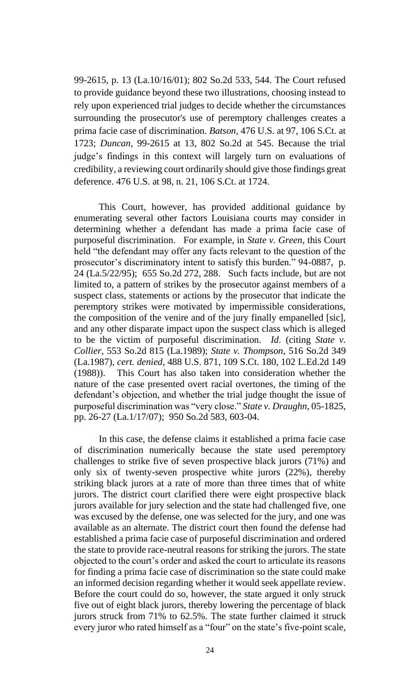99-2615, p. 13 (La.10/16/01); 802 So.2d 533, 544. The Court refused to provide guidance beyond these two illustrations, choosing instead to rely upon experienced trial judges to decide whether the circumstances surrounding the prosecutor's use of peremptory challenges creates a prima facie case of discrimination. *Batson*, 476 U.S. at 97, 106 S.Ct. at 1723; *Duncan*, 99-2615 at 13, 802 So.2d at 545. Because the trial judge's findings in this context will largely turn on evaluations of credibility, a reviewing court ordinarily should give those findings great deference. 476 U.S. at 98, n. 21, 106 S.Ct. at 1724.

This Court, however, has provided additional guidance by enumerating several other factors Louisiana courts may consider in determining whether a defendant has made a prima facie case of purposeful discrimination. For example, in *State v. Green*, this Court held "the defendant may offer any facts relevant to the question of the prosecutor's discriminatory intent to satisfy this burden." 94-0887, p. 24 (La.5/22/95); 655 So.2d 272, 288. Such facts include, but are not limited to, a pattern of strikes by the prosecutor against members of a suspect class, statements or actions by the prosecutor that indicate the peremptory strikes were motivated by impermissible considerations, the composition of the venire and of the jury finally empanelled [sic], and any other disparate impact upon the suspect class which is alleged to be the victim of purposeful discrimination. *Id*. (citing *State v. Collier*, 553 So.2d 815 (La.1989); *State v. Thompson*, 516 So.2d 349 (La.1987), *cert. denied*, 488 U.S. 871, 109 S.Ct. 180, 102 L.Ed.2d 149 (1988)). This Court has also taken into consideration whether the nature of the case presented overt racial overtones, the timing of the defendant's objection, and whether the trial judge thought the issue of purposeful discrimination was "very close." *State v. Draughn*, 05-1825, pp. 26-27 (La.1/17/07); 950 So.2d 583, 603-04.

In this case, the defense claims it established a prima facie case of discrimination numerically because the state used peremptory challenges to strike five of seven prospective black jurors (71%) and only six of twenty-seven prospective white jurors (22%), thereby striking black jurors at a rate of more than three times that of white jurors. The district court clarified there were eight prospective black jurors available for jury selection and the state had challenged five, one was excused by the defense, one was selected for the jury, and one was available as an alternate. The district court then found the defense had established a prima facie case of purposeful discrimination and ordered the state to provide race-neutral reasons for striking the jurors. The state objected to the court's order and asked the court to articulate its reasons for finding a prima facie case of discrimination so the state could make an informed decision regarding whether it would seek appellate review. Before the court could do so, however, the state argued it only struck five out of eight black jurors, thereby lowering the percentage of black jurors struck from 71% to 62.5%. The state further claimed it struck every juror who rated himself as a "four" on the state's five-point scale,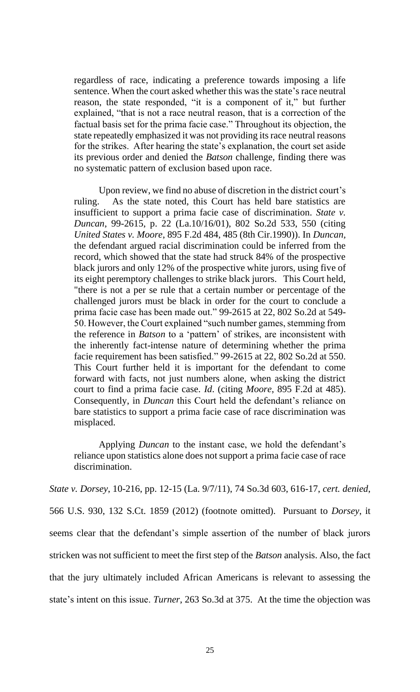regardless of race, indicating a preference towards imposing a life sentence. When the court asked whether this was the state's race neutral reason, the state responded, "it is a component of it," but further explained, "that is not a race neutral reason, that is a correction of the factual basis set for the prima facie case." Throughout its objection, the state repeatedly emphasized it was not providing its race neutral reasons for the strikes. After hearing the state's explanation, the court set aside its previous order and denied the *Batson* challenge, finding there was no systematic pattern of exclusion based upon race.

Upon review, we find no abuse of discretion in the district court's ruling. As the state noted, this Court has held bare statistics are insufficient to support a prima facie case of discrimination. *State v. Duncan*, 99-2615, p. 22 (La.10/16/01), 802 So.2d 533, 550 (citing *United States v. Moore*, 895 F.2d 484, 485 (8th Cir.1990)). In *Duncan,* the defendant argued racial discrimination could be inferred from the record, which showed that the state had struck 84% of the prospective black jurors and only 12% of the prospective white jurors, using five of its eight peremptory challenges to strike black jurors. This Court held, "there is not a per se rule that a certain number or percentage of the challenged jurors must be black in order for the court to conclude a prima facie case has been made out." 99-2615 at 22, 802 So.2d at 549- 50. However, the Court explained "such number games, stemming from the reference in *Batson* to a 'pattern' of strikes, are inconsistent with the inherently fact-intense nature of determining whether the prima facie requirement has been satisfied." 99-2615 at 22, 802 So.2d at 550. This Court further held it is important for the defendant to come forward with facts, not just numbers alone, when asking the district court to find a prima facie case. *Id*. (citing *Moore*, 895 F.2d at 485). Consequently, in *Duncan* this Court held the defendant's reliance on bare statistics to support a prima facie case of race discrimination was misplaced.

Applying *Duncan* to the instant case, we hold the defendant's reliance upon statistics alone does not support a prima facie case of race discrimination.

*State v. Dorsey*, 10-216, pp. 12-15 (La. 9/7/11), 74 So.3d 603, 616-17, *cert. denied*, 566 U.S. 930, 132 S.Ct. 1859 (2012) (footnote omitted). Pursuant to *Dorsey*, it seems clear that the defendant's simple assertion of the number of black jurors stricken was not sufficient to meet the first step of the *Batson* analysis. Also, the fact that the jury ultimately included African Americans is relevant to assessing the state's intent on this issue. *Turner*, 263 So.3d at 375. At the time the objection was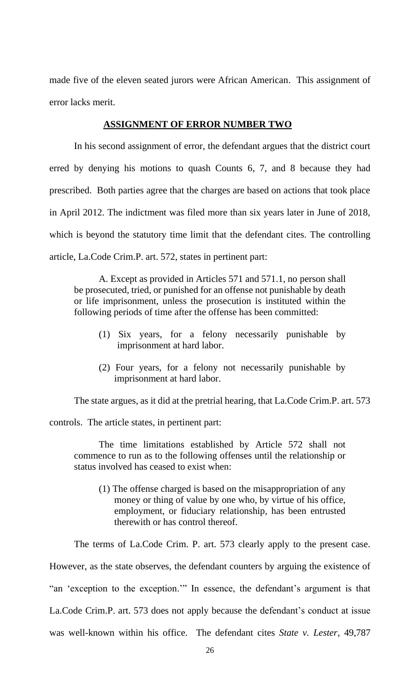made five of the eleven seated jurors were African American. This assignment of error lacks merit.

### **ASSIGNMENT OF ERROR NUMBER TWO**

In his second assignment of error, the defendant argues that the district court erred by denying his motions to quash Counts 6, 7, and 8 because they had prescribed. Both parties agree that the charges are based on actions that took place in April 2012. The indictment was filed more than six years later in June of 2018, which is beyond the statutory time limit that the defendant cites. The controlling article, La.Code Crim.P. art. 572, states in pertinent part:

A. Except as provided in Articles 571 and 571.1, no person shall be prosecuted, tried, or punished for an offense not punishable by death or life imprisonment, unless the prosecution is instituted within the following periods of time after the offense has been committed:

- (1) Six years, for a felony necessarily punishable by imprisonment at hard labor.
- (2) Four years, for a felony not necessarily punishable by imprisonment at hard labor.

The state argues, as it did at the pretrial hearing, that La.Code Crim.P. art. 573

controls. The article states, in pertinent part:

The time limitations established by Article 572 shall not commence to run as to the following offenses until the relationship or status involved has ceased to exist when:

(1) The offense charged is based on the misappropriation of any money or thing of value by one who, by virtue of his office, employment, or fiduciary relationship, has been entrusted therewith or has control thereof.

The terms of La.Code Crim. P. art. 573 clearly apply to the present case. However, as the state observes, the defendant counters by arguing the existence of "an 'exception to the exception.'" In essence, the defendant's argument is that La.Code Crim.P. art. 573 does not apply because the defendant's conduct at issue was well-known within his office. The defendant cites *State v. Lester*, 49,787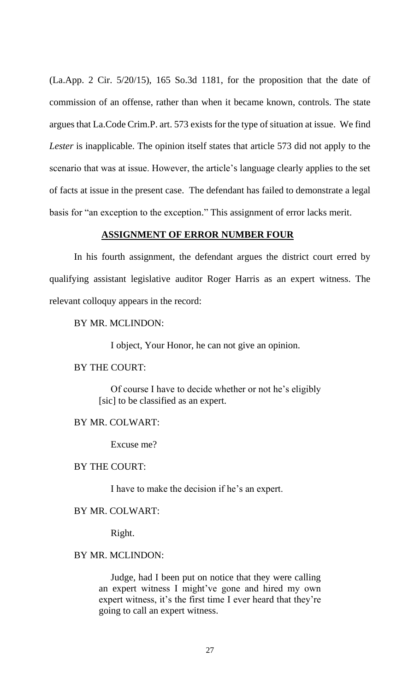(La.App. 2 Cir. 5/20/15), 165 So.3d 1181, for the proposition that the date of commission of an offense, rather than when it became known, controls. The state argues that La.Code Crim.P. art. 573 exists for the type of situation at issue. We find *Lester* is inapplicable. The opinion itself states that article 573 did not apply to the scenario that was at issue. However, the article's language clearly applies to the set of facts at issue in the present case. The defendant has failed to demonstrate a legal basis for "an exception to the exception." This assignment of error lacks merit.

#### **ASSIGNMENT OF ERROR NUMBER FOUR**

In his fourth assignment, the defendant argues the district court erred by qualifying assistant legislative auditor Roger Harris as an expert witness. The relevant colloquy appears in the record:

### BY MR. MCLINDON:

I object, Your Honor, he can not give an opinion.

### BY THE COURT:

 Of course I have to decide whether or not he's eligibly [sic] to be classified as an expert.

#### BY MR. COLWART:

Excuse me?

### BY THE COURT:

I have to make the decision if he's an expert.

### BY MR. COLWART:

Right.

### BY MR. MCLINDON:

 Judge, had I been put on notice that they were calling an expert witness I might've gone and hired my own expert witness, it's the first time I ever heard that they're going to call an expert witness.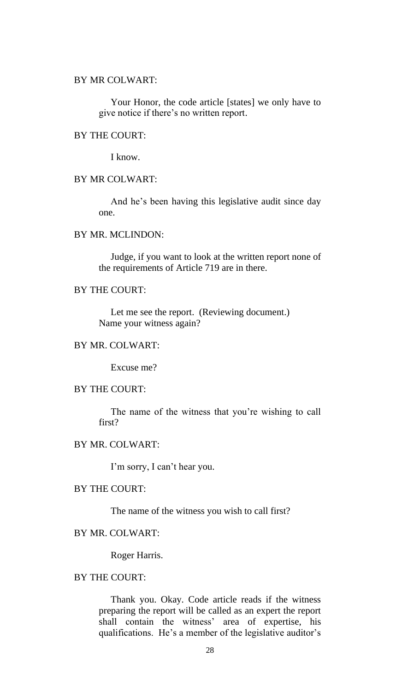#### BY MR COLWART:

 Your Honor, the code article [states] we only have to give notice if there's no written report.

### BY THE COURT:

I know.

### BY MR COLWART:

 And he's been having this legislative audit since day one.

### BY MR. MCLINDON:

 Judge, if you want to look at the written report none of the requirements of Article 719 are in there.

### BY THE COURT:

 Let me see the report. (Reviewing document.) Name your witness again?

# BY MR. COLWART:

Excuse me?

### BY THE COURT:

 The name of the witness that you're wishing to call first?

# BY MR. COLWART:

I'm sorry, I can't hear you.

# BY THE COURT:

The name of the witness you wish to call first?

#### BY MR. COLWART:

Roger Harris.

# BY THE COURT:

 Thank you. Okay. Code article reads if the witness preparing the report will be called as an expert the report shall contain the witness' area of expertise, his qualifications. He's a member of the legislative auditor's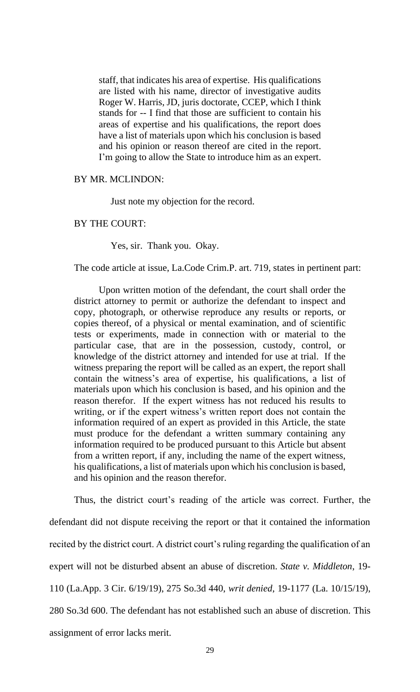staff, that indicates his area of expertise. His qualifications are listed with his name, director of investigative audits Roger W. Harris, JD, juris doctorate, CCEP, which I think stands for -- I find that those are sufficient to contain his areas of expertise and his qualifications, the report does have a list of materials upon which his conclusion is based and his opinion or reason thereof are cited in the report. I'm going to allow the State to introduce him as an expert.

### BY MR. MCLINDON:

Just note my objection for the record.

#### BY THE COURT:

Yes, sir. Thank you. Okay.

The code article at issue, La.Code Crim.P. art. 719, states in pertinent part:

Upon written motion of the defendant, the court shall order the district attorney to permit or authorize the defendant to inspect and copy, photograph, or otherwise reproduce any results or reports, or copies thereof, of a physical or mental examination, and of scientific tests or experiments, made in connection with or material to the particular case, that are in the possession, custody, control, or knowledge of the district attorney and intended for use at trial. If the witness preparing the report will be called as an expert, the report shall contain the witness's area of expertise, his qualifications, a list of materials upon which his conclusion is based, and his opinion and the reason therefor. If the expert witness has not reduced his results to writing, or if the expert witness's written report does not contain the information required of an expert as provided in this Article, the state must produce for the defendant a written summary containing any information required to be produced pursuant to this Article but absent from a written report, if any, including the name of the expert witness, his qualifications, a list of materials upon which his conclusion is based, and his opinion and the reason therefor.

Thus, the district court's reading of the article was correct. Further, the defendant did not dispute receiving the report or that it contained the information recited by the district court. A district court's ruling regarding the qualification of an expert will not be disturbed absent an abuse of discretion. *State v. Middleton*, 19- 110 (La.App. 3 Cir. 6/19/19), 275 So.3d 440, *writ denied*, 19-1177 (La. 10/15/19), 280 So.3d 600. The defendant has not established such an abuse of discretion. This assignment of error lacks merit.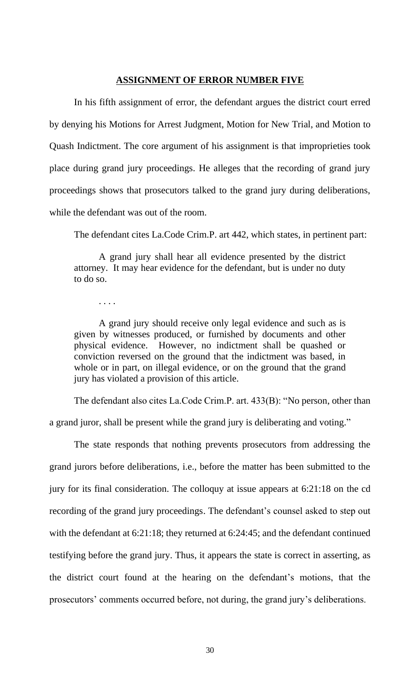### **ASSIGNMENT OF ERROR NUMBER FIVE**

In his fifth assignment of error, the defendant argues the district court erred by denying his Motions for Arrest Judgment, Motion for New Trial, and Motion to Quash Indictment. The core argument of his assignment is that improprieties took place during grand jury proceedings. He alleges that the recording of grand jury proceedings shows that prosecutors talked to the grand jury during deliberations, while the defendant was out of the room.

The defendant cites La.Code Crim.P. art 442, which states, in pertinent part:

A grand jury shall hear all evidence presented by the district attorney. It may hear evidence for the defendant, but is under no duty to do so.

. . . .

A grand jury should receive only legal evidence and such as is given by witnesses produced, or furnished by documents and other physical evidence. However, no indictment shall be quashed or conviction reversed on the ground that the indictment was based, in whole or in part, on illegal evidence, or on the ground that the grand jury has violated a provision of this article.

The defendant also cites La.Code Crim.P. art. 433(B): "No person, other than a grand juror, shall be present while the grand jury is deliberating and voting."

The state responds that nothing prevents prosecutors from addressing the grand jurors before deliberations, i.e., before the matter has been submitted to the jury for its final consideration. The colloquy at issue appears at 6:21:18 on the cd recording of the grand jury proceedings. The defendant's counsel asked to step out with the defendant at 6:21:18; they returned at 6:24:45; and the defendant continued testifying before the grand jury. Thus, it appears the state is correct in asserting, as the district court found at the hearing on the defendant's motions, that the prosecutors' comments occurred before, not during, the grand jury's deliberations.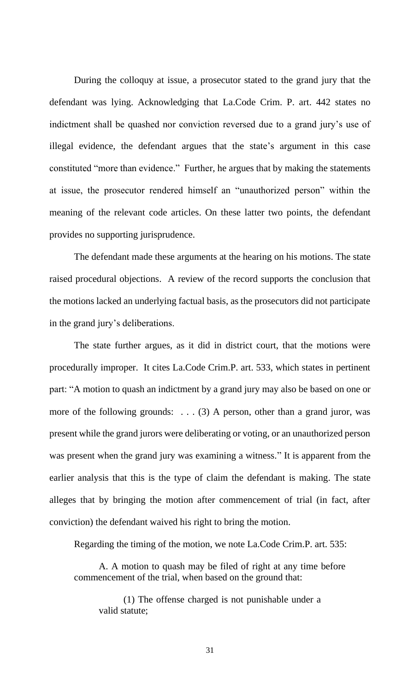During the colloquy at issue, a prosecutor stated to the grand jury that the defendant was lying. Acknowledging that La.Code Crim. P. art. 442 states no indictment shall be quashed nor conviction reversed due to a grand jury's use of illegal evidence, the defendant argues that the state's argument in this case constituted "more than evidence." Further, he argues that by making the statements at issue, the prosecutor rendered himself an "unauthorized person" within the meaning of the relevant code articles. On these latter two points, the defendant provides no supporting jurisprudence.

The defendant made these arguments at the hearing on his motions. The state raised procedural objections. A review of the record supports the conclusion that the motions lacked an underlying factual basis, as the prosecutors did not participate in the grand jury's deliberations.

The state further argues, as it did in district court, that the motions were procedurally improper. It cites La.Code Crim.P. art. 533, which states in pertinent part: "A motion to quash an indictment by a grand jury may also be based on one or more of the following grounds:  $\dots$  (3) A person, other than a grand juror, was present while the grand jurors were deliberating or voting, or an unauthorized person was present when the grand jury was examining a witness." It is apparent from the earlier analysis that this is the type of claim the defendant is making. The state alleges that by bringing the motion after commencement of trial (in fact, after conviction) the defendant waived his right to bring the motion.

Regarding the timing of the motion, we note La.Code Crim.P. art. 535:

A. A motion to quash may be filed of right at any time before commencement of the trial, when based on the ground that:

(1) The offense charged is not punishable under a valid statute;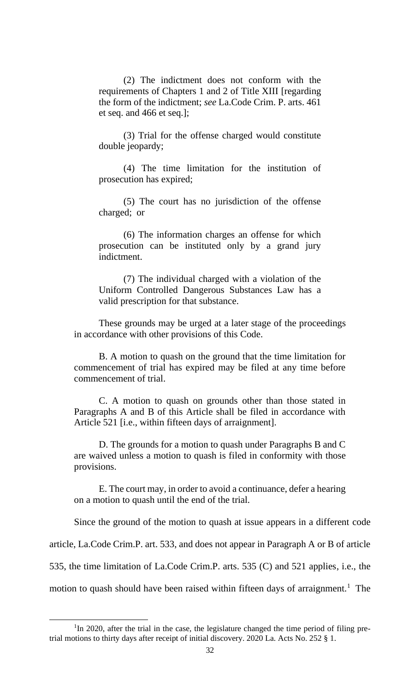(2) The indictment does not conform with the requirements of Chapters 1 and 2 of Title XIII [regarding the form of the indictment; *see* La.Code Crim. P. arts. 461 et seq. and 466 et seq.];

(3) Trial for the offense charged would constitute double jeopardy;

(4) The time limitation for the institution of prosecution has expired;

(5) The court has no jurisdiction of the offense charged; or

(6) The information charges an offense for which prosecution can be instituted only by a grand jury indictment.

(7) The individual charged with a violation of the Uniform Controlled Dangerous Substances Law has a valid prescription for that substance.

These grounds may be urged at a later stage of the proceedings in accordance with other provisions of this Code.

B. A motion to quash on the ground that the time limitation for commencement of trial has expired may be filed at any time before commencement of trial.

C. A motion to quash on grounds other than those stated in Paragraphs A and B of this Article shall be filed in accordance with Article 521 [i.e., within fifteen days of arraignment].

D. The grounds for a motion to quash under Paragraphs B and C are waived unless a motion to quash is filed in conformity with those provisions.

E. The court may, in order to avoid a continuance, defer a hearing on a motion to quash until the end of the trial.

Since the ground of the motion to quash at issue appears in a different code

article, La.Code Crim.P. art. 533, and does not appear in Paragraph A or B of article

535, the time limitation of La.Code Crim.P. arts. 535 (C) and 521 applies, i.e., the

motion to quash should have been raised within fifteen days of arraignment.<sup>1</sup> The

<sup>&</sup>lt;sup>1</sup>In 2020, after the trial in the case, the legislature changed the time period of filing pretrial motions to thirty days after receipt of initial discovery. 2020 La. Acts No. 252 § 1.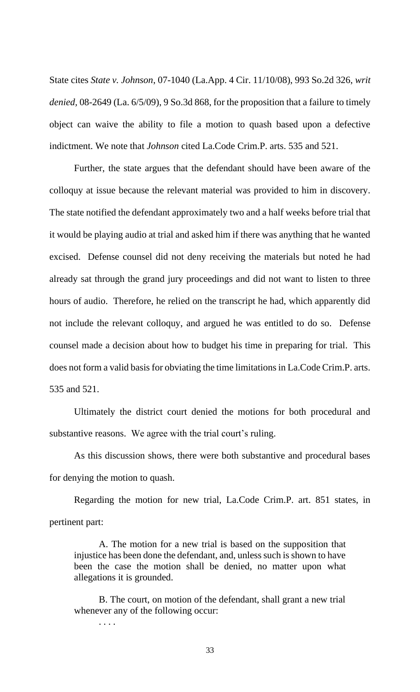State cites *State v. Johnson*, 07-1040 (La.App. 4 Cir. 11/10/08), 993 So.2d 326, *writ denied,* 08-2649 (La. 6/5/09), 9 So.3d 868, for the proposition that a failure to timely object can waive the ability to file a motion to quash based upon a defective indictment. We note that *Johnson* cited La.Code Crim.P. arts. 535 and 521.

Further, the state argues that the defendant should have been aware of the colloquy at issue because the relevant material was provided to him in discovery. The state notified the defendant approximately two and a half weeks before trial that it would be playing audio at trial and asked him if there was anything that he wanted excised. Defense counsel did not deny receiving the materials but noted he had already sat through the grand jury proceedings and did not want to listen to three hours of audio. Therefore, he relied on the transcript he had, which apparently did not include the relevant colloquy, and argued he was entitled to do so. Defense counsel made a decision about how to budget his time in preparing for trial. This does not form a valid basis for obviating the time limitations in La.Code Crim.P. arts. 535 and 521.

Ultimately the district court denied the motions for both procedural and substantive reasons. We agree with the trial court's ruling.

As this discussion shows, there were both substantive and procedural bases for denying the motion to quash.

Regarding the motion for new trial, La.Code Crim.P. art. 851 states, in pertinent part:

A. The motion for a new trial is based on the supposition that injustice has been done the defendant, and, unless such is shown to have been the case the motion shall be denied, no matter upon what allegations it is grounded.

B. The court, on motion of the defendant, shall grant a new trial whenever any of the following occur:

. . . .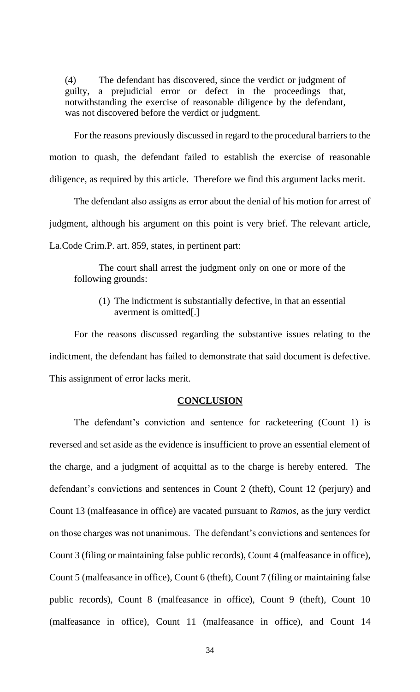(4) The defendant has discovered, since the verdict or judgment of guilty, a prejudicial error or defect in the proceedings that, notwithstanding the exercise of reasonable diligence by the defendant, was not discovered before the verdict or judgment.

For the reasons previously discussed in regard to the procedural barriers to the motion to quash, the defendant failed to establish the exercise of reasonable diligence, as required by this article. Therefore we find this argument lacks merit.

The defendant also assigns as error about the denial of his motion for arrest of judgment, although his argument on this point is very brief. The relevant article, La.Code Crim.P. art. 859, states, in pertinent part:

The court shall arrest the judgment only on one or more of the following grounds:

(1) The indictment is substantially defective, in that an essential averment is omitted[.]

For the reasons discussed regarding the substantive issues relating to the indictment, the defendant has failed to demonstrate that said document is defective. This assignment of error lacks merit.

#### **CONCLUSION**

The defendant's conviction and sentence for racketeering (Count 1) is reversed and set aside as the evidence is insufficient to prove an essential element of the charge, and a judgment of acquittal as to the charge is hereby entered. The defendant's convictions and sentences in Count 2 (theft), Count 12 (perjury) and Count 13 (malfeasance in office) are vacated pursuant to *Ramos*, as the jury verdict on those charges was not unanimous. The defendant's convictions and sentences for Count 3 (filing or maintaining false public records), Count 4 (malfeasance in office), Count 5 (malfeasance in office), Count 6 (theft), Count 7 (filing or maintaining false public records), Count 8 (malfeasance in office), Count 9 (theft), Count 10 (malfeasance in office), Count 11 (malfeasance in office), and Count 14